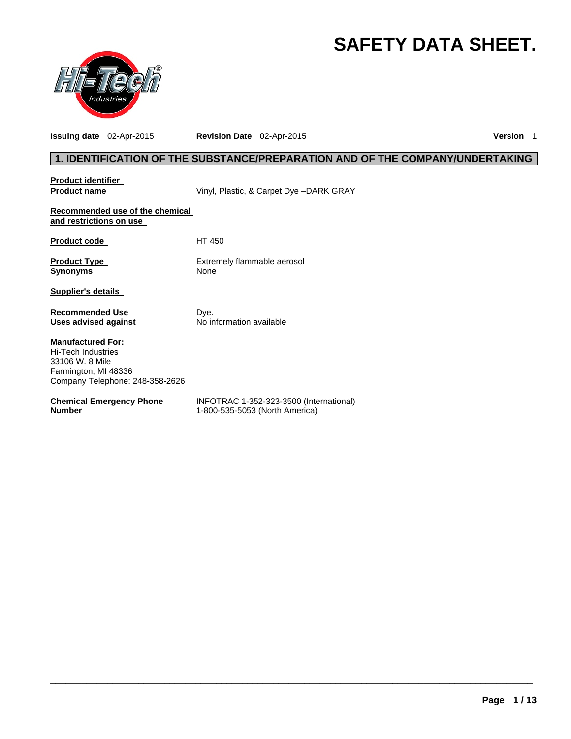# **SAFETY DATA SHEET.**



**Issuing date** 02-Apr-2015 **Revision Date** 02-Apr-2015 **Version** 1

# **1. IDENTIFICATION OF THE SUBSTANCE/PREPARATION AND OF THE COMPANY/UNDERTAKING**

| <b>Product identifier</b>                                                                                                    |                                                                           |
|------------------------------------------------------------------------------------------------------------------------------|---------------------------------------------------------------------------|
| <b>Product name</b>                                                                                                          | Vinyl, Plastic, & Carpet Dye -DARK GRAY                                   |
| Recommended use of the chemical<br>and restrictions on use                                                                   |                                                                           |
| <b>Product code</b>                                                                                                          | HT 450                                                                    |
| <b>Product Type</b><br><b>Synonyms</b>                                                                                       | Extremely flammable aerosol<br>None                                       |
| Supplier's details                                                                                                           |                                                                           |
| <b>Recommended Use</b><br>Uses advised against                                                                               | Dye.<br>No information available                                          |
| <b>Manufactured For:</b><br>Hi-Tech Industries<br>33106 W. 8 Mile<br>Farmington, MI 48336<br>Company Telephone: 248-358-2626 |                                                                           |
| <b>Chemical Emergency Phone</b><br><b>Number</b>                                                                             | INFOTRAC 1-352-323-3500 (International)<br>1-800-535-5053 (North America) |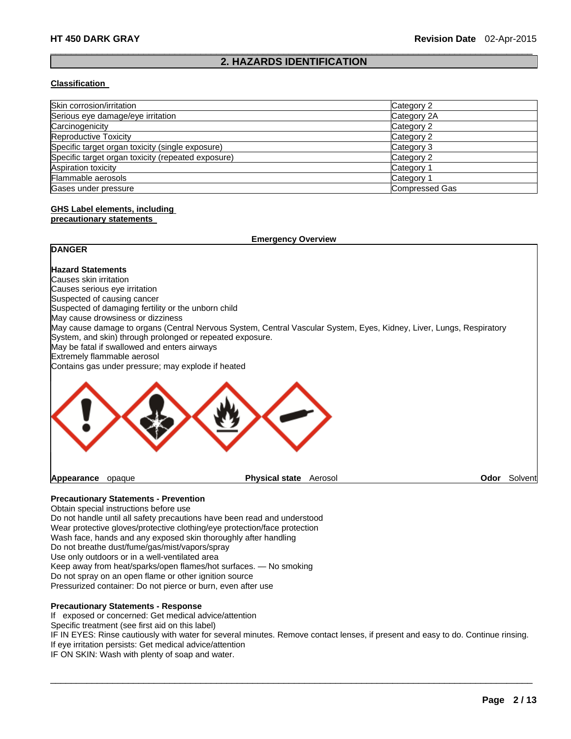### $\Box$ **2. HAZARDS IDENTIFICATION**

#### **Classification**

| Skin corrosion/irritation                          | Category 2            |
|----------------------------------------------------|-----------------------|
| Serious eye damage/eye irritation                  | Category 2A           |
| Carcinogenicity                                    | Category 2            |
| Reproductive Toxicity                              | Category 2            |
| Specific target organ toxicity (single exposure)   | Category 3            |
| Specific target organ toxicity (repeated exposure) | Category 2            |
| Aspiration toxicity                                | Category 1            |
| Flammable aerosols                                 | Category 1            |
| Gases under pressure                               | <b>Compressed Gas</b> |

# **GHS Label elements, including**

#### **precautionary statements**

|                                                                                                                                                                                                                                   | <b>Emergency Overview</b> |         |      |         |
|-----------------------------------------------------------------------------------------------------------------------------------------------------------------------------------------------------------------------------------|---------------------------|---------|------|---------|
| <b>DANGER</b>                                                                                                                                                                                                                     |                           |         |      |         |
| <b>Hazard Statements</b>                                                                                                                                                                                                          |                           |         |      |         |
| Causes skin irritation                                                                                                                                                                                                            |                           |         |      |         |
| Causes serious eye irritation                                                                                                                                                                                                     |                           |         |      |         |
| Suspected of causing cancer                                                                                                                                                                                                       |                           |         |      |         |
| Suspected of damaging fertility or the unborn child                                                                                                                                                                               |                           |         |      |         |
| May cause drowsiness or dizziness                                                                                                                                                                                                 |                           |         |      |         |
| May cause damage to organs (Central Nervous System, Central Vascular System, Eyes, Kidney, Liver, Lungs, Respiratory<br>System, and skin) through prolonged or repeated exposure.<br>May be fatal if swallowed and enters airways |                           |         |      |         |
| Extremely flammable aerosol                                                                                                                                                                                                       |                           |         |      |         |
| Contains gas under pressure; may explode if heated                                                                                                                                                                                |                           |         |      |         |
|                                                                                                                                                                                                                                   |                           |         |      |         |
| Appearance<br>opaque                                                                                                                                                                                                              | <b>Physical state</b>     | Aerosol | Odor | Solvent |

# **Precautionary Statements - Prevention**

Obtain special instructions before use Do not handle until all safety precautions have been read and understood Wear protective gloves/protective clothing/eye protection/face protection Wash face, hands and any exposed skin thoroughly after handling Do not breathe dust/fume/gas/mist/vapors/spray Use only outdoors or in a well-ventilated area Keep away from heat/sparks/open flames/hot surfaces. — No smoking Do not spray on an open flame or other ignition source

Pressurized container: Do not pierce or burn, even after use

#### **Precautionary Statements - Response**

If exposed or concerned: Get medical advice/attention

Specific treatment (see first aid on this label)

IF IN EYES: Rinse cautiously with water for several minutes. Remove contact lenses, if present and easy to do. Continue rinsing. If eye irritation persists: Get medical advice/attention

 $\Box$ 

IF ON SKIN: Wash with plenty of soap and water.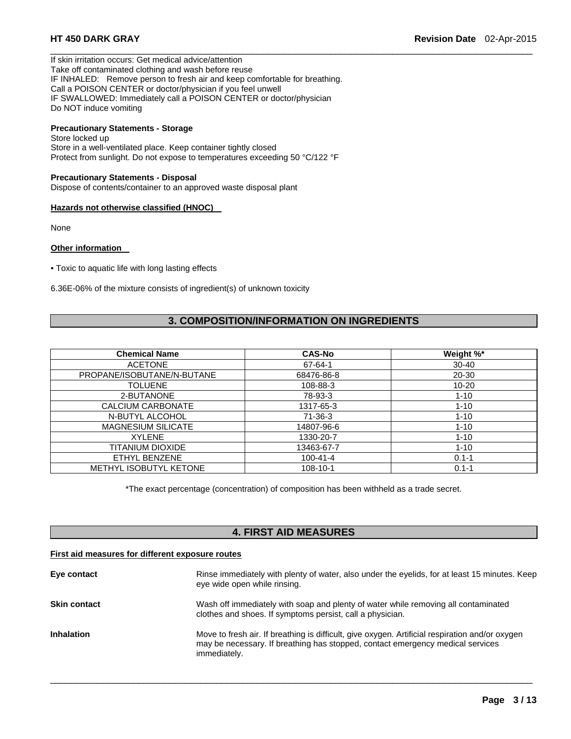If skin irritation occurs: Get medical advice/attention Take off contaminated clothing and wash before reuse IF INHALED: Remove person to fresh air and keep comfortable for breathing. Call a POISON CENTER or doctor/physician if you feel unwell IF SWALLOWED: Immediately call a POISON CENTER or doctor/physician Do NOT induce vomiting

# **Precautionary Statements - Storage**

Store locked up Store in a well-ventilated place. Keep container tightly closed Protect from sunlight. Do not expose to temperatures exceeding 50 °C/122 °F

#### **Precautionary Statements - Disposal**

Dispose of contents/container to an approved waste disposal plant

#### **Hazards not otherwise classified (HNOC)**

None

#### **Other information**

• Toxic to aquatic life with long lasting effects

6.36E-06% of the mixture consists of ingredient(s) of unknown toxicity

# **3. COMPOSITION/INFORMATION ON INGREDIENTS**

 $\Box$ 

| <b>Chemical Name</b>          | <b>CAS-No</b>  | Weight %* |
|-------------------------------|----------------|-----------|
| <b>ACETONE</b>                | 67-64-1        | $30 - 40$ |
| PROPANE/ISOBUTANE/N-BUTANE    | 68476-86-8     | $20 - 30$ |
| <b>TOLUENE</b>                | 108-88-3       | $10 - 20$ |
| 2-BUTANONE                    | 78-93-3        | $1 - 10$  |
| CALCIUM CARBONATE             | 1317-65-3      | $1 - 10$  |
| N-BUTYL ALCOHOL               | $71-36-3$      | $1 - 10$  |
| <b>MAGNESIUM SILICATE</b>     | 14807-96-6     | $1 - 10$  |
| <b>XYLENE</b>                 | 1330-20-7      | $1 - 10$  |
| TITANIUM DIOXIDE              | 13463-67-7     | $1 - 10$  |
| ETHYL BENZENE                 | $100 - 41 - 4$ | $0.1 - 1$ |
| <b>METHYL ISOBUTYL KETONE</b> | $108 - 10 - 1$ | $0.1 - 1$ |

\*The exact percentage (concentration) of composition has been withheld as a trade secret.

# **4. FIRST AID MEASURES**

#### **First aid measures for different exposure routes**

| Eye contact         | Rinse immediately with plenty of water, also under the eyelids, for at least 15 minutes. Keep<br>eye wide open while rinsing.                                                                     |
|---------------------|---------------------------------------------------------------------------------------------------------------------------------------------------------------------------------------------------|
| <b>Skin contact</b> | Wash off immediately with soap and plenty of water while removing all contaminated<br>clothes and shoes. If symptoms persist, call a physician.                                                   |
| <b>Inhalation</b>   | Move to fresh air. If breathing is difficult, give oxygen. Artificial respiration and/or oxygen<br>may be necessary. If breathing has stopped, contact emergency medical services<br>immediately. |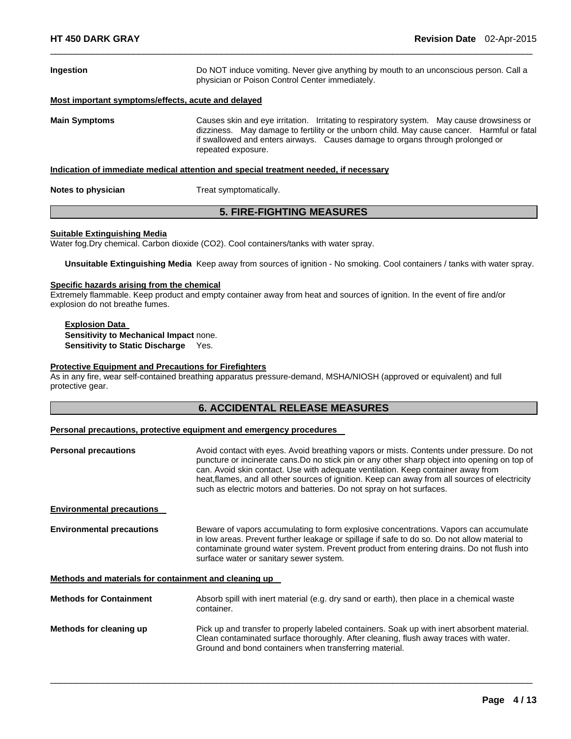| Ingestion            | Do NOT induce vomiting. Never give anything by mouth to an unconscious person. Call a<br>physician or Poison Control Center immediately.                                                                                                                                                       |  |  |
|----------------------|------------------------------------------------------------------------------------------------------------------------------------------------------------------------------------------------------------------------------------------------------------------------------------------------|--|--|
|                      | Most important symptoms/effects, acute and delayed                                                                                                                                                                                                                                             |  |  |
| <b>Main Symptoms</b> | Causes skin and eye irritation. Irritating to respiratory system. May cause drowsiness or<br>dizziness. May damage to fertility or the unborn child. May cause cancer. Harmful or fatal<br>if swallowed and enters airways. Causes damage to organs through prolonged or<br>repeated exposure. |  |  |
|                      | Indication of immediate medical attention and special treatment needed, if necessary                                                                                                                                                                                                           |  |  |
| Notes to physician   | Treat symptomatically.                                                                                                                                                                                                                                                                         |  |  |

**5. FIRE-FIGHTING MEASURES** 

 $\Box$ 

# **Suitable Extinguishing Media**

Water fog.Dry chemical. Carbon dioxide (CO2). Cool containers/tanks with water spray.

**Unsuitable Extinguishing Media** Keep away from sources of ignition - No smoking. Cool containers / tanks with water spray.

#### **Specific hazards arising from the chemical**

Extremely flammable. Keep product and empty container away from heat and sources of ignition. In the event of fire and/or explosion do not breathe fumes.

#### **Explosion Data Sensitivity to Mechanical Impact** none. **Sensitivity to Static Discharge** Yes.

#### **Protective Equipment and Precautions for Firefighters**

As in any fire, wear self-contained breathing apparatus pressure-demand, MSHA/NIOSH (approved or equivalent) and full protective gear.

# **6. ACCIDENTAL RELEASE MEASURES**

#### **Personal precautions, protective equipment and emergency procedures**

| <b>Personal precautions</b>                           | Avoid contact with eyes. Avoid breathing vapors or mists. Contents under pressure. Do not<br>puncture or incinerate cans. Do no stick pin or any other sharp object into opening on top of<br>can. Avoid skin contact. Use with adequate ventilation. Keep container away from<br>heat, flames, and all other sources of ignition. Keep can away from all sources of electricity<br>such as electric motors and batteries. Do not spray on hot surfaces. |
|-------------------------------------------------------|----------------------------------------------------------------------------------------------------------------------------------------------------------------------------------------------------------------------------------------------------------------------------------------------------------------------------------------------------------------------------------------------------------------------------------------------------------|
| <b>Environmental precautions</b>                      |                                                                                                                                                                                                                                                                                                                                                                                                                                                          |
| <b>Environmental precautions</b>                      | Beware of vapors accumulating to form explosive concentrations. Vapors can accumulate<br>in low areas. Prevent further leakage or spillage if safe to do so. Do not allow material to<br>contaminate ground water system. Prevent product from entering drains. Do not flush into<br>surface water or sanitary sewer system.                                                                                                                             |
| Methods and materials for containment and cleaning up |                                                                                                                                                                                                                                                                                                                                                                                                                                                          |
| <b>Methods for Containment</b>                        | Absorb spill with inert material (e.g. dry sand or earth), then place in a chemical waste<br>container.                                                                                                                                                                                                                                                                                                                                                  |
| Methods for cleaning up                               | Pick up and transfer to properly labeled containers. Soak up with inert absorbent material.<br>Clean contaminated surface thoroughly. After cleaning, flush away traces with water.<br>Ground and bond containers when transferring material.                                                                                                                                                                                                            |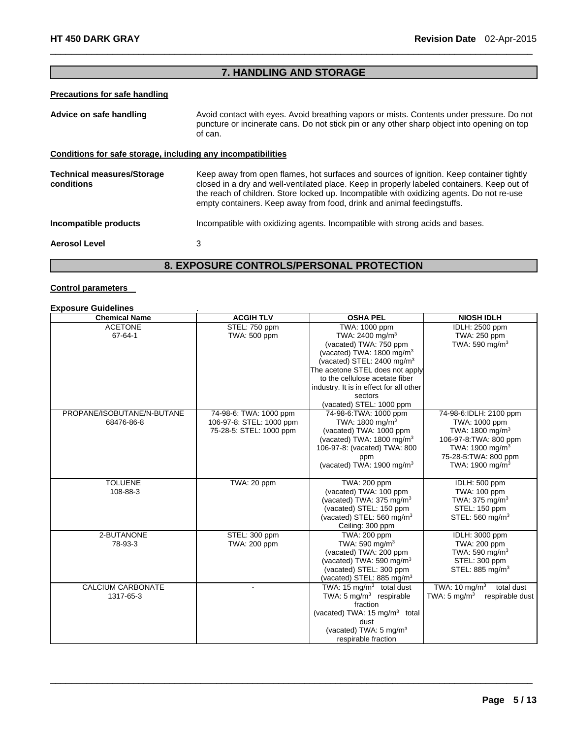# **7. HANDLING AND STORAGE AND STORAGE AND STORAGE AND STORAGE**

 $\Box$ 

# **Precautions for safe handling**

| Advice on safe handling                                      | Avoid contact with eyes. Avoid breathing vapors or mists. Contents under pressure. Do not<br>puncture or incinerate cans. Do not stick pin or any other sharp object into opening on top<br>of can.                                                                                                                                                            |
|--------------------------------------------------------------|----------------------------------------------------------------------------------------------------------------------------------------------------------------------------------------------------------------------------------------------------------------------------------------------------------------------------------------------------------------|
| Conditions for safe storage, including any incompatibilities |                                                                                                                                                                                                                                                                                                                                                                |
| <b>Technical measures/Storage</b><br>conditions              | Keep away from open flames, hot surfaces and sources of ignition. Keep container tightly<br>closed in a dry and well-ventilated place. Keep in properly labeled containers. Keep out of<br>the reach of children. Store locked up. Incompatible with oxidizing agents. Do not re-use<br>empty containers. Keep away from food, drink and animal feedingstuffs. |
| Incompatible products                                        | Incompatible with oxidizing agents. Incompatible with strong acids and bases.                                                                                                                                                                                                                                                                                  |
| <b>Aerosol Level</b>                                         | 3                                                                                                                                                                                                                                                                                                                                                              |

# **8. EXPOSURE CONTROLS/PERSONAL PROTECTION**

# **Control parameters**

#### **Exposure Guidelines** .

| <b>Chemical Name</b>       | <b>ACGIH TLV</b>         | <b>OSHA PEL</b>                           | <b>NIOSH IDLH</b>                          |
|----------------------------|--------------------------|-------------------------------------------|--------------------------------------------|
| <b>ACETONE</b>             | STEL: 750 ppm            | TWA: 1000 ppm                             | IDLH: 2500 ppm                             |
| 67-64-1                    | TWA: 500 ppm             | TWA: 2400 mg/m <sup>3</sup>               | TWA: 250 ppm                               |
|                            |                          | (vacated) TWA: 750 ppm                    | TWA: 590 mg/m $3$                          |
|                            |                          | (vacated) TWA: 1800 mg/m <sup>3</sup>     |                                            |
|                            |                          | (vacated) STEL: 2400 mg/m $3$             |                                            |
|                            |                          | The acetone STEL does not apply           |                                            |
|                            |                          | to the cellulose acetate fiber            |                                            |
|                            |                          | industry. It is in effect for all other   |                                            |
|                            |                          | sectors                                   |                                            |
|                            |                          | (vacated) STEL: 1000 ppm                  |                                            |
| PROPANE/ISOBUTANE/N-BUTANE | 74-98-6: TWA: 1000 ppm   | 74-98-6: TWA: 1000 ppm                    | 74-98-6:IDLH: 2100 ppm                     |
| 68476-86-8                 | 106-97-8: STEL: 1000 ppm | TWA: 1800 mg/m <sup>3</sup>               | TWA: 1000 ppm                              |
|                            | 75-28-5: STEL: 1000 ppm  | (vacated) TWA: 1000 ppm                   | TWA: 1800 mg/m <sup>3</sup>                |
|                            |                          | (vacated) TWA: 1800 mg/m <sup>3</sup>     | 106-97-8: TWA: 800 ppm                     |
|                            |                          | 106-97-8: (vacated) TWA: 800              | TWA: 1900 mg/m <sup>3</sup>                |
|                            |                          | ppm                                       | 75-28-5: TWA: 800 ppm                      |
|                            |                          | (vacated) TWA: 1900 mg/m <sup>3</sup>     | TWA: 1900 mg/m <sup>3</sup>                |
| <b>TOLUENE</b>             | TWA: 20 ppm              | TWA: 200 ppm                              | IDLH: 500 ppm                              |
| 108-88-3                   |                          | (vacated) TWA: 100 ppm                    | TWA: 100 ppm                               |
|                            |                          | (vacated) TWA: 375 mg/m <sup>3</sup>      | TWA: $375 \text{ mg/m}^3$                  |
|                            |                          | (vacated) STEL: 150 ppm                   | STEL: 150 ppm                              |
|                            |                          | (vacated) STEL: $560 \text{ mg/m}^3$      | STEL: $560$ mg/m <sup>3</sup>              |
|                            |                          | Ceiling: 300 ppm                          |                                            |
| 2-BUTANONE                 | STEL: 300 ppm            | TWA: 200 ppm                              | IDLH: 3000 ppm                             |
| 78-93-3                    | TWA: 200 ppm             | TWA: 590 mg/m $3$                         | TWA: 200 ppm                               |
|                            |                          | (vacated) TWA: 200 ppm                    | TWA: 590 mg/m $3$                          |
|                            |                          | (vacated) TWA: 590 mg/m <sup>3</sup>      | STEL: 300 ppm                              |
|                            |                          | (vacated) STEL: 300 ppm                   | STEL: 885 mg/m <sup>3</sup>                |
|                            |                          | (vacated) STEL: 885 mg/m <sup>3</sup>     |                                            |
| <b>CALCIUM CARBONATE</b>   |                          | TWA: 15 $mg/m3$ total dust                | TWA: 10 mg/m <sup>3</sup><br>total dust    |
| 1317-65-3                  |                          | TWA: $5 \text{ mg/m}^3$ respirable        | TWA: $5 \text{ mg/m}^3$<br>respirable dust |
|                            |                          | fraction                                  |                                            |
|                            |                          | (vacated) TWA: 15 mg/m <sup>3</sup> total |                                            |
|                            |                          | dust                                      |                                            |
|                            |                          | (vacated) TWA: $5 \text{ mg/m}^3$         |                                            |
|                            |                          | respirable fraction                       |                                            |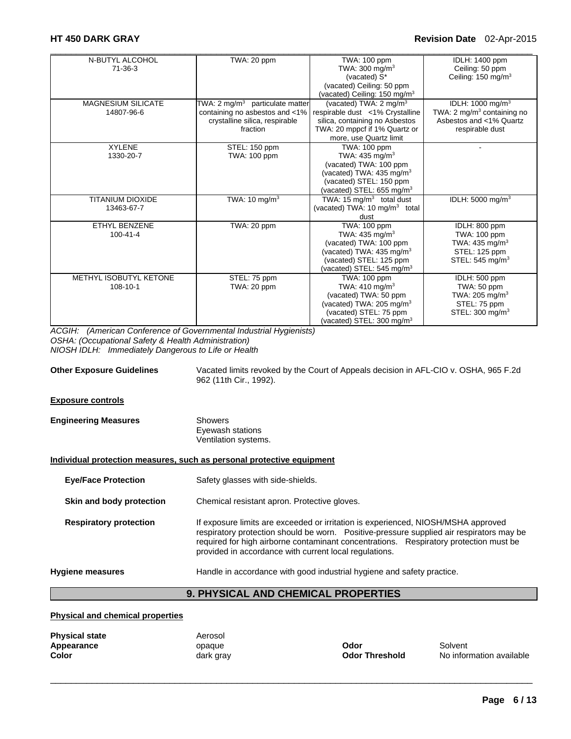# **HT 450 DARK GRAY Revision Date** 02-Apr-2015

| N-BUTYL ALCOHOL           | TWA: 20 ppm                                 | TWA: 100 ppm                              | IDLH: 1400 ppm                         |
|---------------------------|---------------------------------------------|-------------------------------------------|----------------------------------------|
| $71 - 36 - 3$             |                                             | TWA: $300 \text{ mg/m}^3$                 | Ceiling: 50 ppm                        |
|                           |                                             | (vacated) S*                              | Ceiling: $150 \text{ mg/m}^3$          |
|                           |                                             | (vacated) Ceiling: 50 ppm                 |                                        |
|                           |                                             | (vacated) Ceiling: 150 mg/m <sup>3</sup>  |                                        |
| <b>MAGNESIUM SILICATE</b> | TWA: 2 mg/m <sup>3</sup> particulate matter | (vacated) TWA: 2 mg/m <sup>3</sup>        | IDLH: 1000 mg/m <sup>3</sup>           |
| 14807-96-6                | containing no asbestos and <1%              | respirable dust <1% Crystalline           | TWA: 2 mg/m <sup>3</sup> containing no |
|                           | crystalline silica, respirable              | silica, containing no Asbestos            | Asbestos and <1% Quartz                |
|                           | fraction                                    | TWA: 20 mppcf if 1% Quartz or             | respirable dust                        |
|                           |                                             | more, use Quartz limit                    |                                        |
| <b>XYLENE</b>             | STEL: 150 ppm                               | TWA: 100 ppm                              |                                        |
| 1330-20-7                 | TWA: 100 ppm                                | TWA: $435 \text{ mg/m}^3$                 |                                        |
|                           |                                             | (vacated) TWA: 100 ppm                    |                                        |
|                           |                                             | (vacated) TWA: $435 \text{ mg/m}^3$       |                                        |
|                           |                                             | (vacated) STEL: 150 ppm                   |                                        |
|                           |                                             | (vacated) STEL: 655 mg/m <sup>3</sup>     |                                        |
| <b>TITANIUM DIOXIDE</b>   | TWA: $10 \text{ mg/m}^3$                    | TWA: 15 mg/m <sup>3</sup> total dust      | IDLH: 5000 mg/m <sup>3</sup>           |
| 13463-67-7                |                                             | (vacated) TWA: 10 mg/m <sup>3</sup> total |                                        |
|                           |                                             | dust                                      |                                        |
| ETHYL BENZENE             | TWA: 20 ppm                                 | TWA: 100 ppm                              | IDLH: 800 ppm                          |
| $100 - 41 - 4$            |                                             | TWA: 435 mg/ $m3$                         | TWA: 100 ppm                           |
|                           |                                             | (vacated) TWA: 100 ppm                    | TWA: 435 mg/m <sup>3</sup>             |
|                           |                                             | (vacated) TWA: $435 \text{ mg/m}^3$       | STEL: 125 ppm                          |
|                           |                                             | (vacated) STEL: 125 ppm                   | STEL: $545 \text{ mg/m}^3$             |
|                           |                                             | (vacated) STEL: 545 mg/m <sup>3</sup>     |                                        |
| METHYL ISOBUTYL KETONE    | STEL: 75 ppm                                | <b>TWA: 100 ppm</b>                       | IDLH: 500 ppm                          |
| $108 - 10 - 1$            | TWA: 20 ppm                                 | TWA: $410 \text{ mg/m}^3$                 | TWA: 50 ppm                            |
|                           |                                             | (vacated) TWA: 50 ppm                     | TWA: 205 mg/m $3$                      |
|                           |                                             | (vacated) TWA: 205 mg/m <sup>3</sup>      | STEL: 75 ppm                           |
|                           |                                             | (vacated) STEL: 75 ppm                    | STEL: $300 \text{ mg/m}^3$             |
|                           |                                             | (vacated) STEL: 300 mg/m <sup>3</sup>     |                                        |

*ACGIH: (American Conference of Governmental Industrial Hygienists) OSHA: (Occupational Safety & Health Administration) NIOSH IDLH: Immediately Dangerous to Life or Health* 

**Other Exposure Guidelines** Vacated limits revoked by the Court of Appeals decision in AFL-CIO v. OSHA, 965 F.2d 962 (11th Cir., 1992).

### **Exposure controls**

| <b>Engineering Measures</b> | Showers              |
|-----------------------------|----------------------|
|                             | Eyewash stations     |
|                             | Ventilation systems. |

### **Individual protection measures, such as personal protective equipment**

| Hygiene measures              | Handle in accordance with good industrial hygiene and safety practice.                                                                                                                                                                                                                                                           |
|-------------------------------|----------------------------------------------------------------------------------------------------------------------------------------------------------------------------------------------------------------------------------------------------------------------------------------------------------------------------------|
| <b>Respiratory protection</b> | If exposure limits are exceeded or irritation is experienced, NIOSH/MSHA approved<br>respiratory protection should be worn. Positive-pressure supplied air respirators may be<br>required for high airborne contaminant concentrations. Respiratory protection must be<br>provided in accordance with current local regulations. |
| Skin and body protection      | Chemical resistant apron. Protective gloves.                                                                                                                                                                                                                                                                                     |
| <b>Eye/Face Protection</b>    | Safety glasses with side-shields.                                                                                                                                                                                                                                                                                                |

# **9. PHYSICAL AND CHEMICAL PROPERTIES**

 $\Box$ 

#### **Physical and chemical properties**

| <b>Physical state</b> | Aerosol   |                       |          |
|-----------------------|-----------|-----------------------|----------|
| Appearance            | opague    | Odor                  | Solvent  |
| Color                 | dark grav | <b>Odor Threshold</b> | No infor |

**Odor Threshold** No information available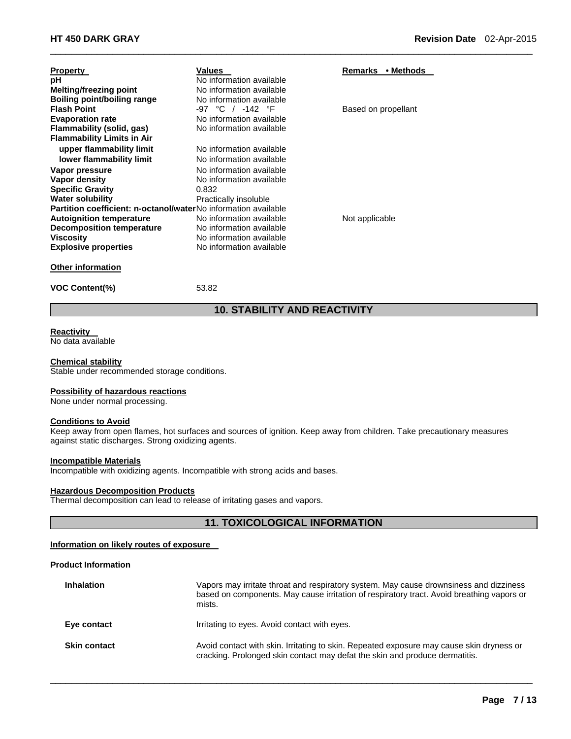| <b>Property</b><br>рH                                                 | Values<br>No information available | Remarks • Methods   |
|-----------------------------------------------------------------------|------------------------------------|---------------------|
| Melting/freezing point                                                | No information available           |                     |
| Boiling point/boiling range                                           | No information available           |                     |
| <b>Flash Point</b>                                                    | -97 °C / -142 °F                   | Based on propellant |
| <b>Evaporation rate</b>                                               | No information available           |                     |
| Flammability (solid, gas)                                             | No information available           |                     |
| <b>Flammability Limits in Air</b>                                     |                                    |                     |
| upper flammability limit                                              | No information available           |                     |
| lower flammability limit                                              | No information available           |                     |
| Vapor pressure                                                        | No information available           |                     |
| Vapor density                                                         | No information available           |                     |
| <b>Specific Gravity</b>                                               | 0.832                              |                     |
| <b>Water solubility</b>                                               | Practically insoluble              |                     |
| <b>Partition coefficient: n-octanol/waterNo information available</b> |                                    |                     |
| <b>Autoignition temperature</b>                                       | No information available           | Not applicable      |
| <b>Decomposition temperature</b>                                      | No information available           |                     |
| Viscosity                                                             | No information available           |                     |
| <b>Explosive properties</b>                                           | No information available           |                     |
| <b>Other information</b>                                              |                                    |                     |
| <b>VOC Content(%)</b>                                                 | 53.82                              |                     |

# **10. STABILITY AND REACTIVITY**

 $\Box$ 

#### **Reactivity**

No data available

#### **Chemical stability**

Stable under recommended storage conditions.

#### **Possibility of hazardous reactions**

None under normal processing.

### **Conditions to Avoid**

Keep away from open flames, hot surfaces and sources of ignition. Keep away from children. Take precautionary measures against static discharges. Strong oxidizing agents.

#### **Incompatible Materials**

Incompatible with oxidizing agents. Incompatible with strong acids and bases.

#### **Hazardous Decomposition Products**

Thermal decomposition can lead to release of irritating gases and vapors.

# **11. TOXICOLOGICAL INFORMATION**

### **Information on likely routes of exposure**

#### **Product Information**

| <b>Inhalation</b>   | Vapors may irritate throat and respiratory system. May cause drownsiness and dizziness<br>based on components. May cause irritation of respiratory tract. Avoid breathing vapors or<br>mists. |
|---------------------|-----------------------------------------------------------------------------------------------------------------------------------------------------------------------------------------------|
| Eye contact         | Irritating to eyes. Avoid contact with eyes.                                                                                                                                                  |
| <b>Skin contact</b> | Avoid contact with skin. Irritating to skin. Repeated exposure may cause skin dryness or<br>cracking. Prolonged skin contact may defat the skin and produce dermatitis.                       |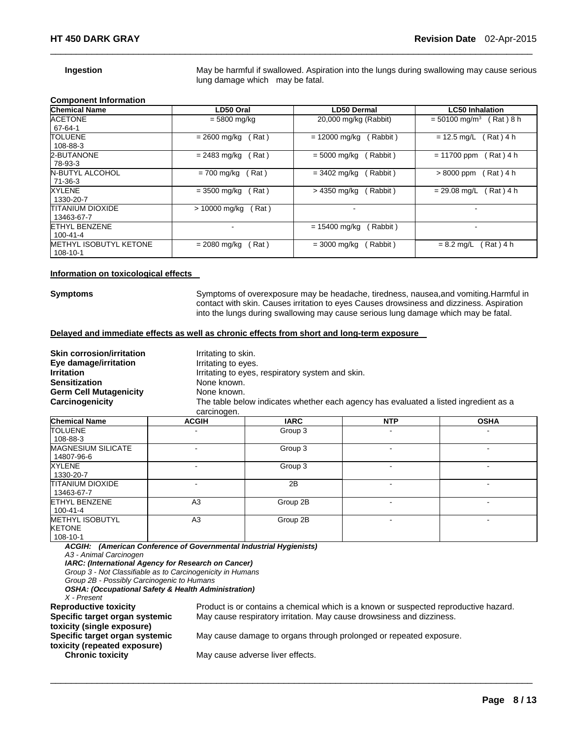**Ingestion May be harmful if swallowed. Aspiration into the lungs during swallowing may cause serious** lung damage which may be fatal.

#### **Component Information**

| <b>Chemical Name</b>          | LD50 Oral              | <b>LD50 Dermal</b>          | <b>LC50 Inhalation</b>                  |
|-------------------------------|------------------------|-----------------------------|-----------------------------------------|
| <b>ACETONE</b>                | $= 5800$ mg/kg         | 20,000 mg/kg (Rabbit)       | $= 50100$ mg/m <sup>3</sup><br>Rat) 8 h |
| 67-64-1                       |                        |                             |                                         |
| <b>TOLUENE</b>                | (Rat)<br>= 2600 mg/kg  | $= 12000$ mg/kg<br>(Rabbit) | (Rat) 4 h<br>$= 12.5$ ma/L              |
| 108-88-3                      |                        |                             |                                         |
| 2-BUTANONE                    | Rat)<br>$= 2483$ mg/kg | Rabbit)<br>$= 5000$ mg/kg   | Rat ) 4 h<br>$= 11700$ ppm              |
| 78-93-3                       |                        |                             |                                         |
| <b>N-BUTYL ALCOHOL</b>        | Rat)<br>= 700 mg/kg    | Rabbit)<br>= 3402 ma/ka     | Rat) 4 h<br>$>8000$ ppm                 |
| $71-36-3$                     |                        |                             |                                         |
| XYLENE                        | Rat)<br>$= 3500$ mg/kg | > 4350 mg/kg<br>(Rabbit)    | Rat) 4 h<br>$= 29.08$ mg/L              |
| 1330-20-7                     |                        |                             |                                         |
| <b>TITANIUM DIOXIDE</b>       | (Rat)<br>> 10000 mg/kg | $\overline{\phantom{a}}$    | $\overline{\phantom{0}}$                |
| 13463-67-7                    |                        |                             |                                         |
| <b>ETHYL BENZENE</b>          |                        | $= 15400$ mg/kg<br>Rabbit)  |                                         |
| 100-41-4                      |                        |                             |                                         |
| <b>METHYL ISOBUTYL KETONE</b> | Rat)<br>$= 2080$ mg/kg | Rabbit)<br>$= 3000$ mg/kg   | Rat ) 4 h<br>$= 8.2$ mg/L               |
| 108-10-1                      |                        |                             |                                         |

 $\Box$ 

#### **Information on toxicological effects**

**Symptoms** Symptoms of overexposure may be headache, tiredness, nausea,and vomiting.Harmful in contact with skin. Causes irritation to eyes Causes drowsiness and dizziness. Aspiration into the lungs during swallowing may cause serious lung damage which may be fatal.

#### **Delayed and immediate effects as well as chronic effects from short and long-term exposure**

| <b>Skin corrosion/irritation</b> |              | Irritating to skin.                              |                                                                                      |             |  |
|----------------------------------|--------------|--------------------------------------------------|--------------------------------------------------------------------------------------|-------------|--|
| Eye damage/irritation            |              | Irritating to eyes.                              |                                                                                      |             |  |
| <b>Irritation</b>                |              | Irritating to eyes, respiratory system and skin. |                                                                                      |             |  |
| <b>Sensitization</b>             |              | None known.                                      |                                                                                      |             |  |
| <b>Germ Cell Mutagenicity</b>    |              | None known.                                      |                                                                                      |             |  |
| Carcinogenicity                  | carcinogen.  |                                                  | The table below indicates whether each agency has evaluated a listed ingredient as a |             |  |
| Chemical Name                    | <b>ACGIH</b> | IARC.                                            | <b>NTP</b>                                                                           | <b>OSHA</b> |  |

| <b>Chemical Name</b>                                | <b>ACGIH</b>   | <b>IARC</b> | <b>NTP</b> | <b>OSHA</b> |
|-----------------------------------------------------|----------------|-------------|------------|-------------|
| <b>TOLUENE</b><br>108-88-3                          |                | Group 3     |            |             |
| <b>MAGNESIUM SILICATE</b><br>14807-96-6             | -              | Group 3     |            | -           |
| <b>XYLENE</b><br>1330-20-7                          | ۰              | Group 3     |            |             |
| <b>TITANIUM DIOXIDE</b><br>13463-67-7               |                | 2B          |            |             |
| <b>ETHYL BENZENE</b><br>100-41-4                    | A <sub>3</sub> | Group 2B    |            | -           |
| <b>METHYL ISOBUTYL</b><br><b>KETONE</b><br>108-10-1 | A <sub>3</sub> | Group 2B    |            |             |

 $\Box$ 

*ACGIH: (American Conference of Governmental Industrial Hygienists) A3 - Animal Carcinogen* 

*IARC: (International Agency for Research on Cancer)* 

*Group 3 - Not Classifiable as to Carcinogenicity in Humans* 

*Group 2B - Possibly Carcinogenic to Humans* 

*OSHA: (Occupational Safety & Health Administration)* 

*X - Present* 

Product is or contains a chemical which is a known or suspected reproductive hazard. May cause respiratory irritation. May cause drowsiness and dizziness.

**Specific target organ systemic toxicity (single exposure) Specific target organ systemic toxicity (repeated exposure)** 

May cause damage to organs through prolonged or repeated exposure.

**Chronic toxicity May cause adverse liver effects.**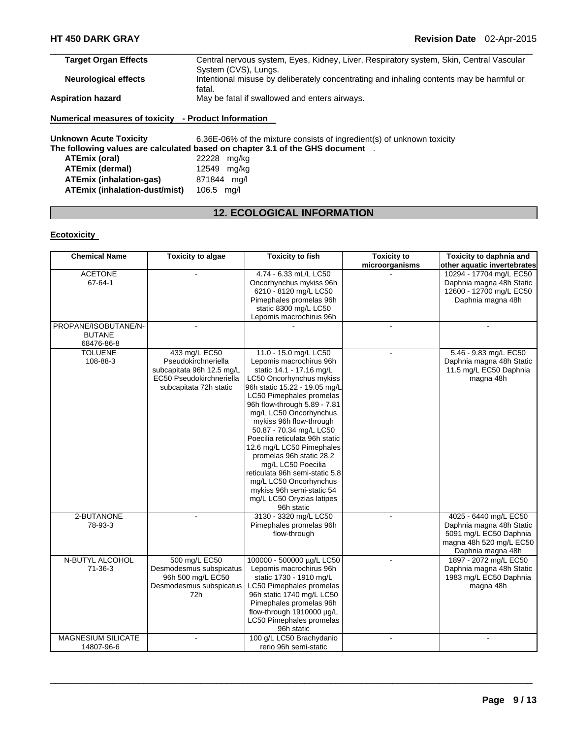| <b>Target Organ Effects</b> | Central nervous system, Eyes, Kidney, Liver, Respiratory system, Skin, Central Vascular  |
|-----------------------------|------------------------------------------------------------------------------------------|
|                             | System (CVS), Lungs.                                                                     |
| <b>Neurological effects</b> | Intentional misuse by deliberately concentrating and inhaling contents may be harmful or |
|                             | fatal.                                                                                   |
| <b>Aspiration hazard</b>    | May be fatal if swallowed and enters airways.                                            |
|                             |                                                                                          |

# **Numerical measures of toxicity - Product Information**

**Unknown Acute Toxicity** 6.36E-06% of the mixture consists of ingredient(s) of unknown toxicity **The following values are calculated based on chapter 3.1 of the GHS document** . **ATEmix (oral)** 22228 mg/kg **ATEmix (dermal)** 12549 mg/kg **ATEmix (inhalation-gas)** 871844 mg/l **ATEmix (inhalation-dust/mist)** 106.5 mg/l

# **12. ECOLOGICAL INFORMATION**

### **Ecotoxicity**

| <b>Chemical Name</b>      | <b>Toxicity to algae</b>  | <b>Toxicity to fish</b>         | <b>Toxicity to</b> | Toxicity to daphnia and     |
|---------------------------|---------------------------|---------------------------------|--------------------|-----------------------------|
|                           |                           |                                 | microorganisms     | other aquatic invertebrates |
| <b>ACETONE</b>            |                           | 4.74 - 6.33 mL/L LC50           |                    | 10294 - 17704 mg/L EC50     |
| 67-64-1                   |                           | Oncorhynchus mykiss 96h         |                    | Daphnia magna 48h Static    |
|                           |                           | 6210 - 8120 mg/L LC50           |                    | 12600 - 12700 mg/L EC50     |
|                           |                           | Pimephales promelas 96h         |                    | Daphnia magna 48h           |
|                           |                           | static 8300 mg/L LC50           |                    |                             |
|                           |                           | Lepomis macrochirus 96h         |                    |                             |
| PROPANE/ISOBUTANE/N-      |                           |                                 | $\blacksquare$     |                             |
| <b>BUTANE</b>             |                           |                                 |                    |                             |
| 68476-86-8                |                           |                                 |                    |                             |
| <b>TOLUENE</b>            | 433 mg/L EC50             | 11.0 - 15.0 mg/L LC50           | $\overline{a}$     | 5.46 - 9.83 mg/L EC50       |
| 108-88-3                  | Pseudokirchneriella       | Lepomis macrochirus 96h         |                    | Daphnia magna 48h Static    |
|                           | subcapitata 96h 12.5 mg/L | static 14.1 - 17.16 mg/L        |                    | 11.5 mg/L EC50 Daphnia      |
|                           | EC50 Pseudokirchneriella  | LC50 Oncorhynchus mykiss        |                    | magna 48h                   |
|                           | subcapitata 72h static    | 96h static 15.22 - 19.05 mg/L   |                    |                             |
|                           |                           | LC50 Pimephales promelas        |                    |                             |
|                           |                           | 96h flow-through 5.89 - 7.81    |                    |                             |
|                           |                           | mg/L LC50 Oncorhynchus          |                    |                             |
|                           |                           | mykiss 96h flow-through         |                    |                             |
|                           |                           | 50.87 - 70.34 mg/L LC50         |                    |                             |
|                           |                           | Poecilia reticulata 96h static  |                    |                             |
|                           |                           | 12.6 mg/L LC50 Pimephales       |                    |                             |
|                           |                           | promelas 96h static 28.2        |                    |                             |
|                           |                           | mg/L LC50 Poecilia              |                    |                             |
|                           |                           | reticulata 96h semi-static 5.8  |                    |                             |
|                           |                           | mg/L LC50 Oncorhynchus          |                    |                             |
|                           |                           | mykiss 96h semi-static 54       |                    |                             |
|                           |                           | mg/L LC50 Oryzias latipes       |                    |                             |
|                           |                           | 96h static                      |                    |                             |
| 2-BUTANONE                |                           | 3130 - 3320 mg/L LC50           |                    | 4025 - 6440 mg/L EC50       |
| 78-93-3                   |                           | Pimephales promelas 96h         |                    | Daphnia magna 48h Static    |
|                           |                           | flow-through                    |                    | 5091 mg/L EC50 Daphnia      |
|                           |                           |                                 |                    | magna 48h 520 mg/L EC50     |
|                           |                           |                                 |                    | Daphnia magna 48h           |
| N-BUTYL ALCOHOL           | 500 mg/L EC50             | 100000 - 500000 µg/L LC50       |                    | 1897 - 2072 mg/L EC50       |
| 71-36-3                   | Desmodesmus subspicatus   | Lepomis macrochirus 96h         |                    | Daphnia magna 48h Static    |
|                           | 96h 500 mg/L EC50         | static 1730 - 1910 mg/L         |                    | 1983 mg/L EC50 Daphnia      |
|                           | Desmodesmus subspicatus   | <b>LC50 Pimephales promelas</b> |                    | magna 48h                   |
|                           | 72h                       | 96h static 1740 mg/L LC50       |                    |                             |
|                           |                           | Pimephales promelas 96h         |                    |                             |
|                           |                           | flow-through 1910000 µg/L       |                    |                             |
|                           |                           | LC50 Pimephales promelas        |                    |                             |
|                           |                           | 96h static                      |                    |                             |
| <b>MAGNESIUM SILICATE</b> |                           | 100 g/L LC50 Brachydanio        |                    |                             |
| 14807-96-6                |                           | rerio 96h semi-static           |                    |                             |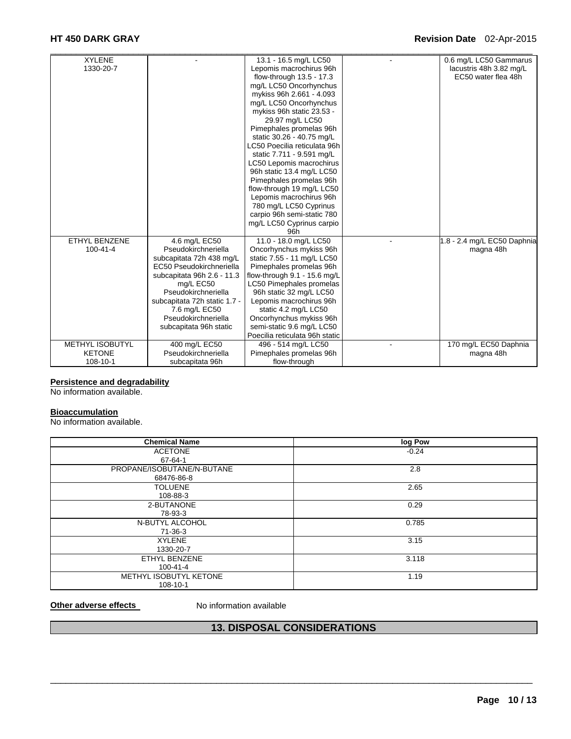# **HT 450 DARK GRAY Revision Date** 02-Apr-2015

| <b>XYLENE</b>          |                              | 13.1 - 16.5 mg/L LC50           | 0.6 mg/L LC50 Gammarus      |
|------------------------|------------------------------|---------------------------------|-----------------------------|
| 1330-20-7              |                              | Lepomis macrochirus 96h         | lacustris 48h 3.82 mg/L     |
|                        |                              | flow-through 13.5 - 17.3        | EC50 water flea 48h         |
|                        |                              | mg/L LC50 Oncorhynchus          |                             |
|                        |                              | mykiss 96h 2.661 - 4.093        |                             |
|                        |                              | mg/L LC50 Oncorhynchus          |                             |
|                        |                              | mykiss 96h static 23.53 -       |                             |
|                        |                              | 29.97 mg/L LC50                 |                             |
|                        |                              | Pimephales promelas 96h         |                             |
|                        |                              | static 30.26 - 40.75 mg/L       |                             |
|                        |                              | LC50 Poecilia reticulata 96h    |                             |
|                        |                              | static 7.711 - 9.591 mg/L       |                             |
|                        |                              | LC50 Lepomis macrochirus        |                             |
|                        |                              | 96h static 13.4 mg/L LC50       |                             |
|                        |                              | Pimephales promelas 96h         |                             |
|                        |                              | flow-through 19 mg/L LC50       |                             |
|                        |                              | Lepomis macrochirus 96h         |                             |
|                        |                              | 780 mg/L LC50 Cyprinus          |                             |
|                        |                              | carpio 96h semi-static 780      |                             |
|                        |                              | mg/L LC50 Cyprinus carpio       |                             |
|                        |                              | 96h                             |                             |
| <b>ETHYL BENZENE</b>   | 4.6 mg/L EC50                | 11.0 - 18.0 mg/L LC50           | 1.8 - 2.4 mg/L EC50 Daphnia |
| $100 - 41 - 4$         | Pseudokirchneriella          | Oncorhynchus mykiss 96h         | magna 48h                   |
|                        | subcapitata 72h 438 mg/L     | static 7.55 - 11 mg/L LC50      |                             |
|                        | EC50 Pseudokirchneriella     | Pimephales promelas 96h         |                             |
|                        | subcapitata 96h 2.6 - 11.3   | flow-through 9.1 - 15.6 mg/L    |                             |
|                        | mg/L EC50                    | <b>LC50 Pimephales promelas</b> |                             |
|                        | Pseudokirchneriella          | 96h static 32 mg/L LC50         |                             |
|                        | subcapitata 72h static 1.7 - | Lepomis macrochirus 96h         |                             |
|                        | 7.6 mg/L EC50                | static 4.2 mg/L LC50            |                             |
|                        | Pseudokirchneriella          | Oncorhynchus mykiss 96h         |                             |
|                        | subcapitata 96h static       | semi-static 9.6 mg/L LC50       |                             |
|                        |                              | Poecilia reticulata 96h static  |                             |
| <b>METHYL ISOBUTYL</b> | 400 mg/L EC50                | 496 - 514 mg/L LC50             | 170 mg/L EC50 Daphnia       |
| <b>KETONE</b>          | Pseudokirchneriella          | Pimephales promelas 96h         | magna 48h                   |
| 108-10-1               | subcapitata 96h              | flow-through                    |                             |

### **Persistence and degradability**

No information available.

# **Bioaccumulation**

No information available.

| <b>Chemical Name</b>       | log Pow |
|----------------------------|---------|
| <b>ACETONE</b>             | $-0.24$ |
| 67-64-1                    |         |
| PROPANE/ISOBUTANE/N-BUTANE | 2.8     |
| 68476-86-8                 |         |
| <b>TOLUENE</b>             | 2.65    |
| 108-88-3                   |         |
| 2-BUTANONE                 | 0.29    |
| 78-93-3                    |         |
| N-BUTYL ALCOHOL            | 0.785   |
| 71-36-3                    |         |
| <b>XYLENE</b>              | 3.15    |
| 1330-20-7                  |         |
| ETHYL BENZENE              | 3.118   |
| 100-41-4                   |         |
| METHYL ISOBUTYL KETONE     | 1.19    |
| 108-10-1                   |         |

**Other adverse effects** No information available

# **13. DISPOSAL CONSIDERATIONS**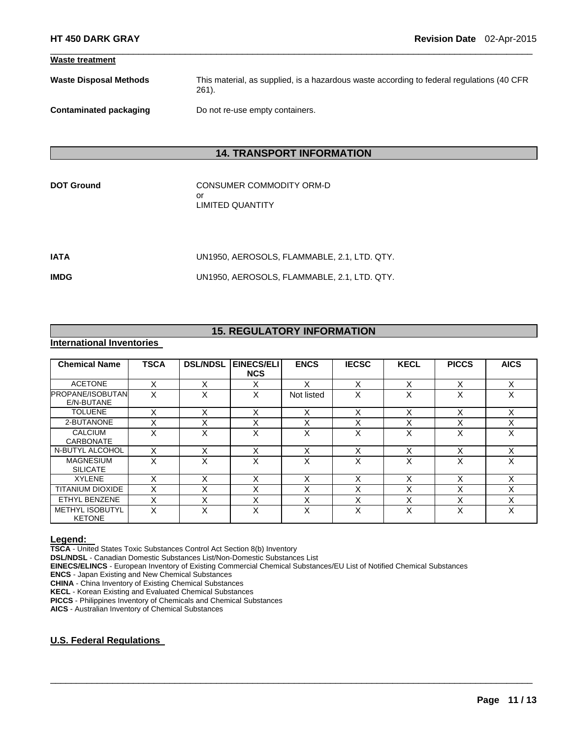| <b>Waste treatment</b>        |                                                                                                       |
|-------------------------------|-------------------------------------------------------------------------------------------------------|
| <b>Waste Disposal Methods</b> | This material, as supplied, is a hazardous waste according to federal regulations (40 CFR<br>$261$ ). |
| Contaminated packaging        | Do not re-use empty containers.                                                                       |

 $\Box$ 

# **14. TRANSPORT INFORMATION**

CONSUMER COMMODITY ORM-D or LIMITED QUANTITY

| IATA | UN1950. AEROSOLS. FLAMMABLE. 2.1. LTD. QTY. |
|------|---------------------------------------------|
| IMDG | UN1950. AEROSOLS. FLAMMABLE. 2.1. LTD. QTY. |

# **15. REGULATORY INFORMATION**

# **International Inventories**

| <b>Chemical Name</b>                    | <b>TSCA</b> | <b>DSL/NDSL</b> | <b>EINECS/ELI</b><br><b>NCS</b> | <b>ENCS</b> | <b>IECSC</b> | <b>KECL</b>               | <b>PICCS</b> | <b>AICS</b> |
|-----------------------------------------|-------------|-----------------|---------------------------------|-------------|--------------|---------------------------|--------------|-------------|
| <b>ACETONE</b>                          |             | x               | х                               | x           | x            | $\checkmark$<br>⋏         |              | х           |
| <b>PROPANE/ISOBUTAN</b><br>E/N-BUTANE   | x           | X               | X                               | Not listed  | X            | v<br>∧                    | x            | X           |
| <b>TOLUENE</b>                          | X           | x               | X                               | Χ           | X            | X                         | X            | X           |
| 2-BUTANONE                              |             | X               | X                               | X           | X            | v<br>ᆺ                    |              | X           |
| <b>CALCIUM</b><br><b>CARBONATE</b>      | X           | X               | X                               | X           | X            | X                         | X            | X           |
| N-BUTYL ALCOHOL                         | X           | x               | X                               | Χ           | X            | X                         |              | X           |
| <b>MAGNESIUM</b><br><b>SILICATE</b>     | X           | X               | X                               | X           | x            | X                         | X            | X           |
| <b>XYLENE</b>                           | X           | X               | X                               | X           | X            | X                         | X            | X           |
| <b>TITANIUM DIOXIDE</b>                 |             | х               | X                               | Χ           | X            | v<br>⋏                    | х            | X           |
| ETHYL BENZENE                           | X           | X               | $\checkmark$<br>⋏               | X           | X            | $\checkmark$<br>⌒         | X            | X           |
| <b>METHYL ISOBUTYL</b><br><b>KETONE</b> | x           | X               | X                               | x           | X            | $\checkmark$<br>$\lambda$ | x            | X           |

 $\Box$ 

**Legend: TSCA** - United States Toxic Substances Control Act Section 8(b) Inventory

**DSL/NDSL** - Canadian Domestic Substances List/Non-Domestic Substances List

**EINECS/ELINCS** - European Inventory of Existing Commercial Chemical Substances/EU List of Notified Chemical Substances

**ENCS** - Japan Existing and New Chemical Substances

**CHINA** - China Inventory of Existing Chemical Substances

**KECL** - Korean Existing and Evaluated Chemical Substances

**PICCS** - Philippines Inventory of Chemicals and Chemical Substances

**AICS** - Australian Inventory of Chemical Substances

### **U.S. Federal Regulations**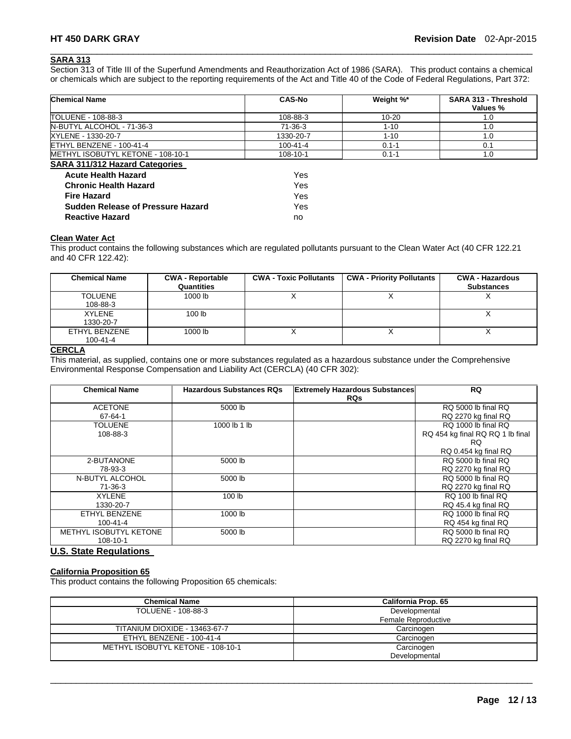# **SARA 313**

Section 313 of Title III of the Superfund Amendments and Reauthorization Act of 1986 (SARA). This product contains a chemical or chemicals which are subject to the reporting requirements of the Act and Title 40 of the Code of Federal Regulations, Part 372:

 $\Box$ 

| <b>Chemical Name</b>                     | <b>CAS-No</b> | Weight %* | SARA 313 - Threshold<br>Values % |
|------------------------------------------|---------------|-----------|----------------------------------|
| TOLUENE - 108-88-3                       | 108-88-3      | $10 - 20$ | 1.0                              |
| N-BUTYL ALCOHOL - 71-36-3                | $71-36-3$     | $1 - 10$  | 1.0                              |
| XYLENE - 1330-20-7                       | 1330-20-7     | $1 - 10$  | 1.0                              |
| ETHYL BENZENE - 100-41-4                 | 100-41-4      | $0.1 - 1$ | 0.1                              |
| METHYL ISOBUTYL KETONE - 108-10-1        | 108-10-1      | $0.1 - 1$ | 1.0                              |
| <b>SARA 311/312 Hazard Categories</b>    |               |           |                                  |
| <b>Acute Health Hazard</b>               | Yes           |           |                                  |
| <b>Chronic Health Hazard</b>             | Yes           |           |                                  |
| <b>Fire Hazard</b>                       | Yes           |           |                                  |
| <b>Sudden Release of Pressure Hazard</b> | Yes           |           |                                  |
| <b>Reactive Hazard</b>                   | no            |           |                                  |

# **Clean Water Act**

This product contains the following substances which are regulated pollutants pursuant to the Clean Water Act (40 CFR 122.21 and 40 CFR 122.42):

| <b>Chemical Name</b>            | <b>CWA - Reportable</b><br>Quantities | <b>CWA - Toxic Pollutants</b> | <b>CWA - Priority Pollutants</b> | <b>CWA - Hazardous</b><br><b>Substances</b> |
|---------------------------------|---------------------------------------|-------------------------------|----------------------------------|---------------------------------------------|
| <b>TOLUENE</b><br>108-88-3      | 1000 lb                               |                               |                                  |                                             |
| <b>XYLENE</b><br>1330-20-7      | 100 <sub>1b</sub>                     |                               |                                  |                                             |
| ETHYL BENZENE<br>$100 - 41 - 4$ | 1000 lb                               |                               |                                  |                                             |

# **CERCLA**

This material, as supplied, contains one or more substances regulated as a hazardous substance under the Comprehensive Environmental Response Compensation and Liability Act (CERCLA) (40 CFR 302):

| <b>Chemical Name</b>   | <b>Hazardous Substances RQs</b> | <b>Extremely Hazardous Substances</b> | <b>RQ</b>                        |
|------------------------|---------------------------------|---------------------------------------|----------------------------------|
|                        |                                 | <b>RQs</b>                            |                                  |
| <b>ACETONE</b>         | 5000 lb                         |                                       | RQ 5000 lb final RQ              |
| 67-64-1                |                                 |                                       | RQ 2270 kg final RQ              |
| <b>TOLUENE</b>         | 1000 lb 1 lb                    |                                       | RQ 1000 lb final RQ              |
| 108-88-3               |                                 |                                       | RQ 454 kg final RQ RQ 1 lb final |
|                        |                                 |                                       | RQ.                              |
|                        |                                 |                                       | RQ 0.454 kg final RQ             |
| 2-BUTANONE             | 5000 lb                         |                                       | RQ 5000 lb final RQ              |
| 78-93-3                |                                 |                                       | RQ 2270 kg final RQ              |
| N-BUTYL ALCOHOL        | 5000 lb                         |                                       | RQ 5000 lb final RQ              |
| 71-36-3                |                                 |                                       | RQ 2270 kg final RQ              |
| <b>XYLENE</b>          | 100 <sub>lb</sub>               |                                       | RQ 100 lb final RQ               |
| 1330-20-7              |                                 |                                       | RQ 45.4 kg final RQ              |
| ETHYL BENZENE          | 1000 lb                         |                                       | RQ 1000 lb final RQ              |
| $100 - 41 - 4$         |                                 |                                       | RQ 454 kg final RQ               |
| METHYL ISOBUTYL KETONE | 5000 lb                         |                                       | RQ 5000 lb final RQ              |
| 108-10-1               |                                 |                                       | RQ 2270 kg final RQ              |

#### **U.S. State Regulations**

# **California Proposition 65**

This product contains the following Proposition 65 chemicals:

| <b>Chemical Name</b>              | California Prop. 65 |  |  |
|-----------------------------------|---------------------|--|--|
| TOLUENE - 108-88-3                | Developmental       |  |  |
|                                   | Female Reproductive |  |  |
| TITANIUM DIOXIDE - 13463-67-7     | Carcinogen          |  |  |
| ETHYL BENZENE - 100-41-4          | Carcinogen          |  |  |
| METHYL ISOBUTYL KETONE - 108-10-1 | Carcinogen          |  |  |
|                                   | Developmental       |  |  |